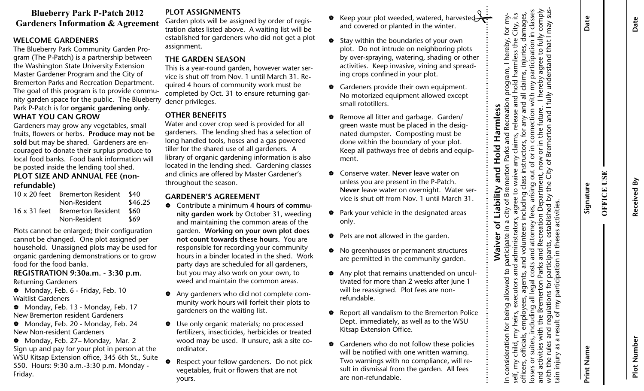## **Gardeners Information & Agreement Blueberry Park P-Patch 2012**

### **WELCOME GARDENERS**

The Blueberry Park Community Garden Program (The P-Patch) is a partnership between the Washington State University Extension Master Gardener Program and the City of Bremerton Parks and Recreation Department. The goal of this program is to provide community garden space for the public. The Blueberry Park P-Patch is for **organic gardening only. WHAT YOU CAN GROW** 

Gardeners may grow any vegetables, small fruits, flowers or herbs. **Produce may not be sold** but may be shared. Gardeners are encouraged to donate their surplus produce to local food banks. Food bank information will be posted inside the lending tool shed. **PLOT SIZE AND ANNUAL FEE (non-**

### **refundable)**

|              | 10 x 20 feet Bremerton Resident | - \$40 |
|--------------|---------------------------------|--------|
|              | Non-Resident                    |        |
| 16 x 31 feet | Bremerton Resident              | -860   |
|              | Non-Resident                    | \$69   |

Plots cannot be enlarged; their configuration cannot be changed. One plot assigned per household. Unassigned plots may be used for organic gardening demonstrations or to grow food for the food banks.

**REGISTRATION 9:30a.m. - 3:30 p.m.**  Returning Gardeners

Monday, Feb. 6 - Friday, Feb. 10 Waitlist Gardeners

Monday, Feb. 13 - Monday, Feb. 17 New Bremerton resident Gardeners

Monday, Feb. 20 - Monday, Feb. 24 New Non-resident Gardeners

Monday, Feb. 27– Monday, Mar. 2 Sign up and pay for your plot in person at the WSU Kitsap Extension office, 345 6th St., Suite 550. Hours: 9:30 a.m.-3:30 p.m. Monday - Friday.

## **PLOT ASSIGNMENTS**

Garden plots will be assigned by order of registration dates listed above. A waiting list will be established for gardeners who did not get a plot assignment.

#### **THE GARDEN SEASON**

This is a year-round garden, however water service is shut off from Nov. 1 until March 31. Required 4 hours of community work must be completed by Oct. 31 to ensure returning gardener privileges.

## **OTHER BENEFITS**

Water and cover crop seed is provided for all gardeners. The lending shed has a selection of long handled tools, hoses and a gas powered tiller for the shared use of all gardeners. A library of organic gardening information is also located in the lending shed. Gardening classes and clinics are offered by Master Gardener's throughout the season.

#### **GARDENER'S AGREEMENT**

- V Contribute a minimum **4 hours of community garden work** by October 31, weeding and maintaining the common areas of the garden. **Working on your own plot does not count towards these hours.** You are responsible for recording your community hours in a binder located in the shed. Work party days are scheduled for all gardeners, but you may also work on your own, to weed and maintain the common areas.
- V Any gardeners who did not complete community work hours will forfeit their plots to gardeners on the waiting list.
- $\bullet$  Use only organic materials; no processed fertilizers, insecticides, herbicides or treated wood may be used. If unsure, ask a site coordinator.
- Respect your fellow gardeners. Do not pick vegetables, fruit or flowers that are not yours.
- ♦ Keep your plot weeded, watered, harvested
- 
- 
- 
- 
- 
- 
- 
- 
- 
- 

| ♦ | Keep your plot weeded, watered, harvested<br>and covered or planted in the winter.                                                                                                                                         | sus<br>comply<br>classes<br>City, its<br>damages<br>Date<br>for my<br>may                                                                                                                      | Date        |
|---|----------------------------------------------------------------------------------------------------------------------------------------------------------------------------------------------------------------------------|------------------------------------------------------------------------------------------------------------------------------------------------------------------------------------------------|-------------|
| ✿ | Stay within the boundaries of your own<br>plot. Do not intrude on neighboring plots<br>by over-spraying, watering, shading or other<br>activities. Keep invasive, vining and spread-<br>ing crops confined in your plot.   | agree to fully<br>ess the<br>I hereby,<br>participation<br>understand that<br>harmi<br>ogram,<br>claims,                                                                                       |             |
| ♦ | Gardeners provide their own equipment.<br>No motorized equipment allowed except<br>small rototillers.                                                                                                                      | hereby<br>hold<br>$\sum_{i=1}^{n}$<br>with<br>and all<br>and                                                                                                                                   |             |
| ۰ | Remove all litter and garbage. Garden/<br>green waste must be placed in the desig-<br>nated dumpster. Composting must be<br>done within the boundary of your plot.<br>Keep all pathways free of debris and equip-<br>ment. | Bremerton and I fully<br>Bremerton Parks and Recreation<br>Hold Harmless<br>now or in the future.<br>connection<br>claims, release<br>any<br>class instructors,<br>ð<br>any<br>đ<br>đ          |             |
| ✿ | Conserve water. Never leave water on<br>unless you are present in the P-Patch.<br>Never leave water on overnight. Water ser-<br>vice is shut off from Nov. 1 until March 31.                                               | Liability and<br>waive<br>but<br>λi<br>Ö<br>Department,<br><b>OFFICE USE</b><br>arising<br>the<br>Signature<br>ree to<br>including<br>$\lesssim$<br>ъ                                          | Received By |
| ₩ | Park your vehicle in the designated areas<br>only.                                                                                                                                                                         | īpa<br>city<br>attorney fees<br>$\sigma$                                                                                                                                                       |             |
| ✿ | Pets are not allowed in the garden.                                                                                                                                                                                        | ⊒.                                                                                                                                                                                             |             |
| ۰ | No greenhouses or permanent structures<br>are permitted in the community garden.                                                                                                                                           | participants, established<br>Parks and Recreation<br>administrators<br>Waiver of<br>participate                                                                                                |             |
| ₩ | Any plot that remains unattended on uncul-<br>tivated for more than 2 weeks after June 1<br>will be reassigned. Plot fees are non-<br>refundable.                                                                          | rticipation in theses activities<br>agents, and volunteers in<br>legal costs and attorney f<br>erton Parks and Recreation<br>s for participants, establis<br>and<br>tors<br>pa<br>execu<br>ees |             |
| ₩ | Report all vandalism to the Bremerton Police<br>Dept. immediately, as well as to the WSU<br>Kitsap Extension Office.                                                                                                       | and regulations<br>the Breme<br>uding al<br>a result of my<br>employ<br>heirs,<br>$\geq$                                                                                                       |             |
| ♦ | Gardeners who do not follow these policies<br>will be notified with one written warning.<br>Two warnings with no compliance, will re-<br>sult in dismissal from the garden. All fees<br>are non-refundable.                | In consideration for being allowed to<br>and activities with<br>officials,<br>suites,<br>with the rules<br>child,<br>as<br>Print Name<br>tain injury<br>losses or<br>self, my<br>officers,     | Plot Number |